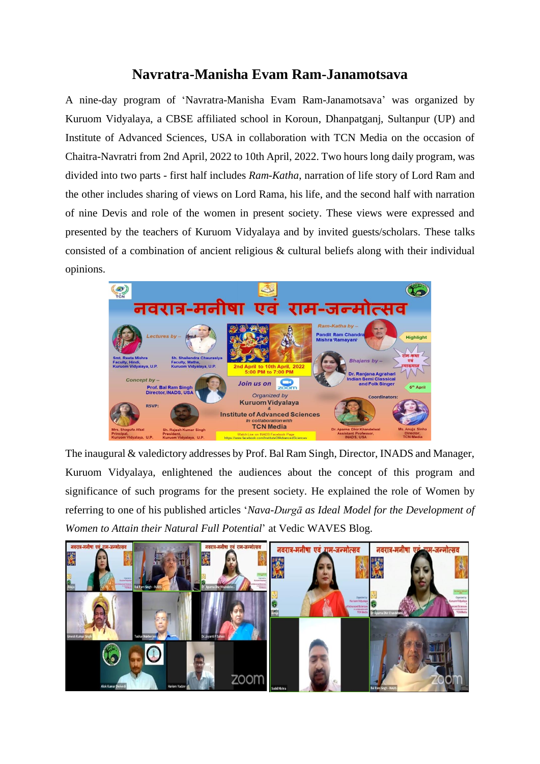## **Navratra-Manisha Evam Ram-Janamotsava**

A nine-day program of 'Navratra-Manisha Evam Ram-Janamotsava' was organized by Kuruom Vidyalaya, a CBSE affiliated school in Koroun, Dhanpatganj, Sultanpur (UP) and Institute of Advanced Sciences, USA in collaboration with TCN Media on the occasion of Chaitra-Navratri from 2nd April, 2022 to 10th April, 2022. Two hours long daily program, was divided into two parts - first half includes *Ram-Katha*, narration of life story of Lord Ram and the other includes sharing of views on Lord Rama, his life, and the second half with narration of nine Devis and role of the women in present society. These views were expressed and presented by the teachers of Kuruom Vidyalaya and by invited guests/scholars. These talks consisted of a combination of ancient religious & cultural beliefs along with their individual opinions.



The inaugural & valedictory addresses by Prof. Bal Ram Singh, Director, INADS and Manager, Kuruom Vidyalaya, enlightened the audiences about the concept of this program and significance of such programs for the present society. He explained the role of Women by referring to one of his published articles '*Nava-Durgā as Ideal Model for the Development of Women to Attain their Natural Full Potential*' at Vedic WAVES Blog.

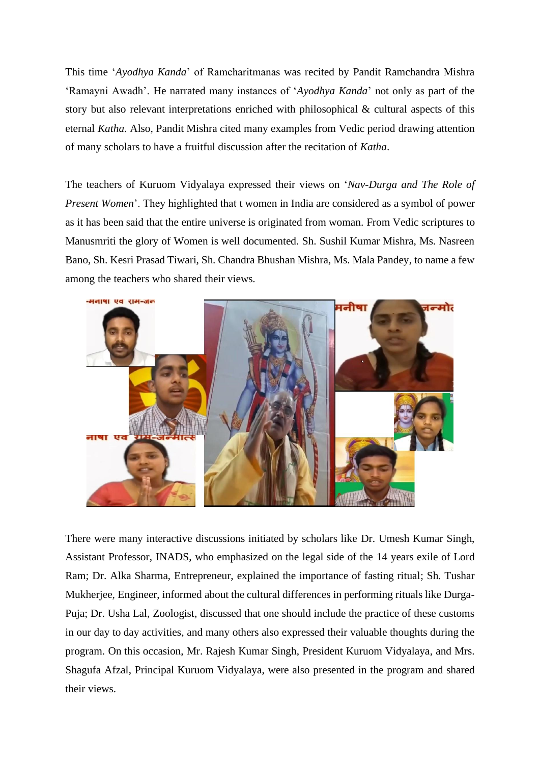This time '*Ayodhya Kanda*' of Ramcharitmanas was recited by Pandit Ramchandra Mishra 'Ramayni Awadh'. He narrated many instances of '*Ayodhya Kanda*' not only as part of the story but also relevant interpretations enriched with philosophical & cultural aspects of this eternal *Katha*. Also, Pandit Mishra cited many examples from Vedic period drawing attention of many scholars to have a fruitful discussion after the recitation of *Katha*.

The teachers of Kuruom Vidyalaya expressed their views on '*Nav-Durga and The Role of Present Women*'. They highlighted that t women in India are considered as a symbol of power as it has been said that the entire universe is originated from woman. From Vedic scriptures to Manusmriti the glory of Women is well documented. Sh. Sushil Kumar Mishra, Ms. Nasreen Bano, Sh. Kesri Prasad Tiwari, Sh. Chandra Bhushan Mishra, Ms. Mala Pandey, to name a few among the teachers who shared their views.



There were many interactive discussions initiated by scholars like Dr. Umesh Kumar Singh, Assistant Professor, INADS, who emphasized on the legal side of the 14 years exile of Lord Ram; Dr. Alka Sharma, Entrepreneur, explained the importance of fasting ritual; Sh. Tushar Mukherjee, Engineer, informed about the cultural differences in performing rituals like Durga-Puja; Dr. Usha Lal, Zoologist, discussed that one should include the practice of these customs in our day to day activities, and many others also expressed their valuable thoughts during the program. On this occasion, Mr. Rajesh Kumar Singh, President Kuruom Vidyalaya, and Mrs. Shagufa Afzal, Principal Kuruom Vidyalaya, were also presented in the program and shared their views.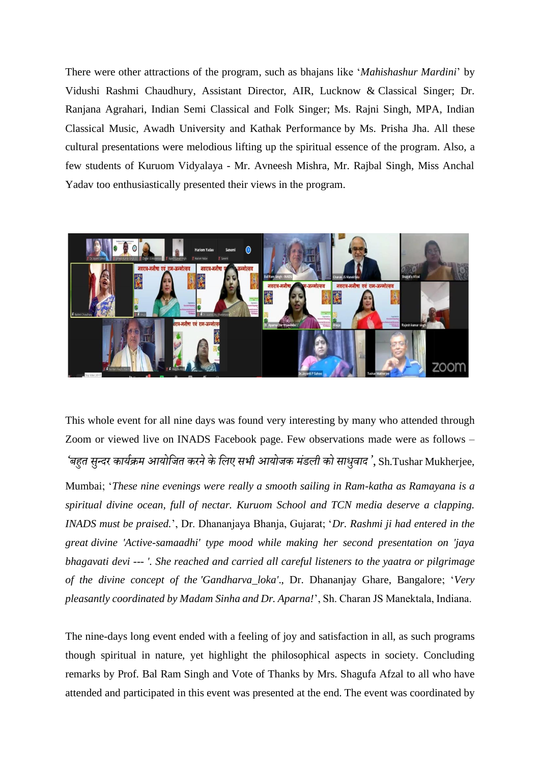There were other attractions of the program, such as bhajans like '*Mahishashur Mardini*' by Vidushi Rashmi Chaudhury, Assistant Director, AIR, Lucknow & Classical Singer; Dr. Ranjana Agrahari, Indian Semi Classical and Folk Singer; Ms. Rajni Singh, MPA, Indian Classical Music, Awadh University and Kathak Performance by Ms. Prisha Jha. All these cultural presentations were melodious lifting up the spiritual essence of the program. Also, a few students of Kuruom Vidyalaya - Mr. Avneesh Mishra, Mr. Rajbal Singh, Miss Anchal Yadav too enthusiastically presented their views in the program.



This whole event for all nine days was found very interesting by many who attended through Zoom or viewed live on INADS Facebook page. Few observations made were as follows – *'बहुत सुन्दर कार्यक्रम आर्ोजित करनेकेजिए सभी आर्ोिक मंडिी को साधवुाद'*, Sh.Tushar Mukherjee,

Mumbai; '*These nine evenings were really a smooth sailing in Ram-katha as Ramayana is a spiritual divine ocean, full of nectar. Kuruom School and TCN media deserve a clapping. INADS must be praised.*', Dr. Dhananjaya Bhanja, Gujarat; '*Dr. Rashmi ji had entered in the great divine 'Active-samaadhi' type mood while making her second presentation on 'jaya bhagavati devi --- '. She reached and carried all careful listeners to the yaatra or pilgrimage of the divine concept of the 'Gandharva\_loka'*., Dr. Dhananjay Ghare, Bangalore; '*Very pleasantly coordinated by Madam Sinha and Dr. Aparna!*', Sh. Charan JS Manektala, Indiana.

The nine-days long event ended with a feeling of joy and satisfaction in all, as such programs though spiritual in nature, yet highlight the philosophical aspects in society. Concluding remarks by Prof. Bal Ram Singh and Vote of Thanks by Mrs. Shagufa Afzal to all who have attended and participated in this event was presented at the end. The event was coordinated by